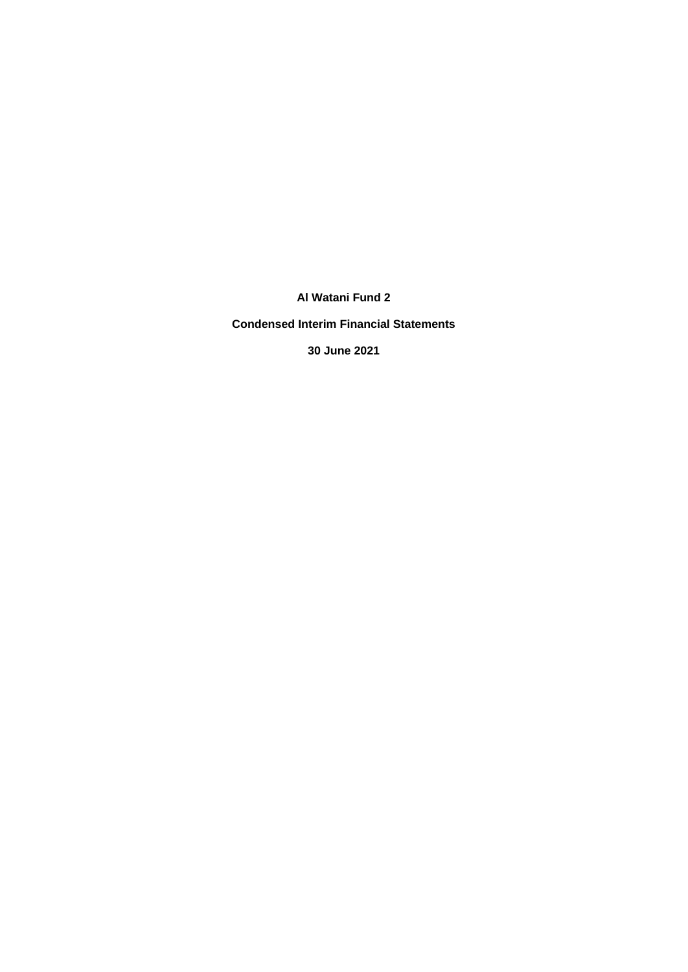**Condensed Interim Financial Statements**

**30 June 2021**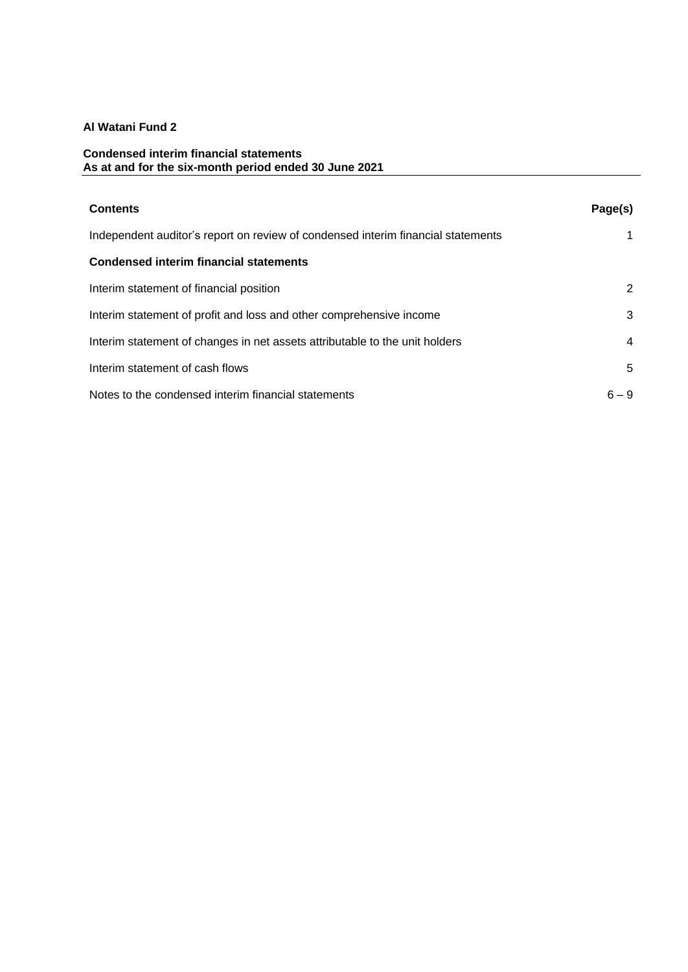## **Condensed interim financial statements As at and for the six-month period ended 30 June 2021**

| <b>Contents</b>                                                                  | Page(s) |
|----------------------------------------------------------------------------------|---------|
| Independent auditor's report on review of condensed interim financial statements |         |
| <b>Condensed interim financial statements</b>                                    |         |
| Interim statement of financial position                                          | 2       |
| Interim statement of profit and loss and other comprehensive income              | 3       |
| Interim statement of changes in net assets attributable to the unit holders      | 4       |
| Interim statement of cash flows                                                  | 5       |
| Notes to the condensed interim financial statements                              | $6 - 9$ |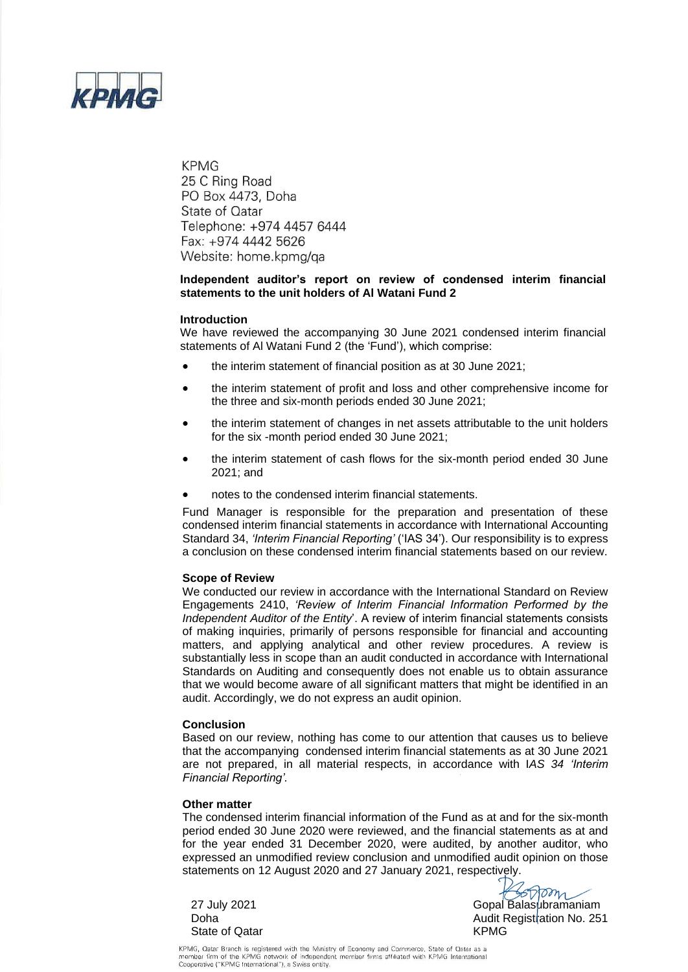

**KPMG** 25 C Ring Road PO Box 4473, Doha State of Qatar Telephone: +974 4457 6444 Fax: +974 4442 5626 Website: home.kpmg/qa

## **Independent auditor's report on review of condensed interim financial statements to the unit holders of Al Watani Fund 2**

#### **Introduction**

We have reviewed the accompanying 30 June 2021 condensed interim financial statements of Al Watani Fund 2 (the 'Fund'), which comprise:

- the interim statement of financial position as at 30 June 2021;
- the interim statement of profit and loss and other comprehensive income for the three and six-month periods ended 30 June 2021;
- the interim statement of changes in net assets attributable to the unit holders for the six -month period ended 30 June 2021;
- the interim statement of cash flows for the six-month period ended 30 June 2021; and
- notes to the condensed interim financial statements.

Fund Manager is responsible for the preparation and presentation of these condensed interim financial statements in accordance with International Accounting Standard 34, *'Interim Financial Reporting'* ('IAS 34'). Our responsibility is to express a conclusion on these condensed interim financial statements based on our review.

#### **Scope of Review**

We conducted our review in accordance with the International Standard on Review Engagements 2410, *'Review of Interim Financial Information Performed by the Independent Auditor of the Entity*'. A review of interim financial statements consists of making inquiries, primarily of persons responsible for financial and accounting matters, and applying analytical and other review procedures. A review is substantially less in scope than an audit conducted in accordance with International Standards on Auditing and consequently does not enable us to obtain assurance that we would become aware of all significant matters that might be identified in an audit. Accordingly, we do not express an audit opinion.

#### **Conclusion**

Based on our review, nothing has come to our attention that causes us to believe that the accompanying condensed interim financial statements as at 30 June 2021 are not prepared, in all material respects, in accordance with I*AS 34 'Interim Financial Reporting'.* 

#### **Other matter**

The condensed interim financial information of the Fund as at and for the six-month period ended 30 June 2020 were reviewed, and the financial statements as at and for the year ended 31 December 2020, were audited, by another auditor, who expressed an unmodified review conclusion and unmodified audit opinion on those statements on 12 August 2020 and 27 January 2021, respectively.

State of Qatar **KPMG** 

27 July 2021 Gopal Balasubramaniam Doha Audit Registration No. 251

KPMG, Qatar Branch is registered with the Ministry of Economy and Commerce, State of Qatar as a<br>member firm of the KPMG network of independent member firms affiliated with KPMG International Cooperative ("KPMG International"), a Swiss entity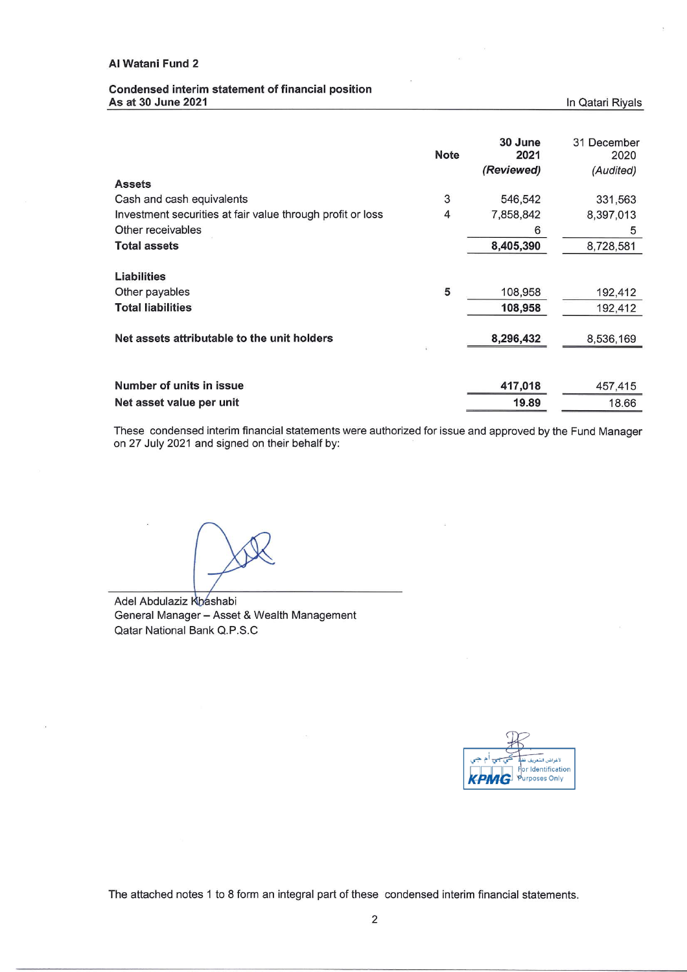## Condensed interim statement of financial position As at 30 June 2021

In Qatari Riyals

|                                                            | <b>Note</b> | 30 June<br>2021<br>(Reviewed) | 31 December<br>2020<br>(Audited) |
|------------------------------------------------------------|-------------|-------------------------------|----------------------------------|
| <b>Assets</b>                                              |             |                               |                                  |
| Cash and cash equivalents                                  | 3           | 546,542                       | 331,563                          |
| Investment securities at fair value through profit or loss | 4           | 7,858,842                     | 8,397,013                        |
| Other receivables                                          |             | 6                             | 5                                |
| <b>Total assets</b>                                        |             | 8,405,390                     | 8,728,581                        |
| Liabilities                                                |             |                               |                                  |
| Other payables                                             | 5           | 108,958                       | 192,412                          |
| <b>Total liabilities</b>                                   |             | 108,958                       | 192,412                          |
| Net assets attributable to the unit holders                |             | 8,296,432                     | 8,536,169                        |
|                                                            |             |                               |                                  |
| Number of units in issue                                   |             | 417,018                       | 457,415                          |
| Net asset value per unit                                   |             | 19.89                         | 18.66                            |

These condensed interim financial statements were authorized for issue and approved by the Fund Manager on 27 July 2021 and signed on their behalf by:

Adel Abdulaziz Khashabi General Manager - Asset & Wealth Management Qatar National Bank Q.P.S.C

لأغراض التعري<u>ة</u> r Identification urposes Only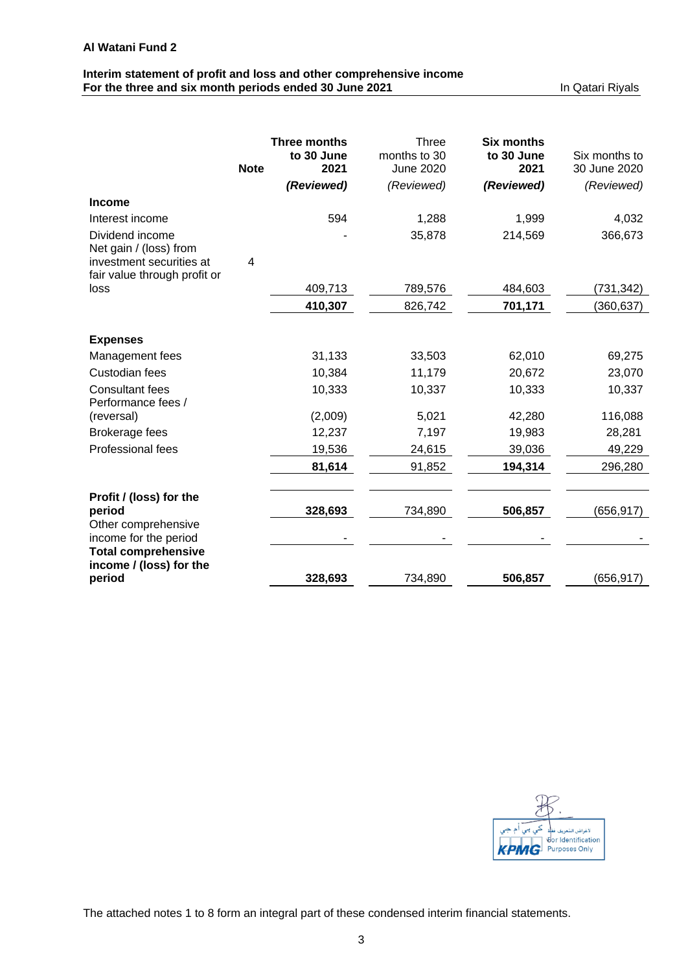# **Interim statement of profit and loss and other comprehensive income For the three and six month periods ended 30 June 2021 In Qatari Riyals**

|                                                          |             | <b>Three months</b> | Three                     | <b>Six months</b>  |                               |
|----------------------------------------------------------|-------------|---------------------|---------------------------|--------------------|-------------------------------|
|                                                          | <b>Note</b> | to 30 June<br>2021  | months to 30<br>June 2020 | to 30 June<br>2021 | Six months to<br>30 June 2020 |
|                                                          |             | (Reviewed)          | (Reviewed)                | (Reviewed)         | (Reviewed)                    |
| <b>Income</b>                                            |             |                     |                           |                    |                               |
| Interest income                                          |             | 594                 | 1,288                     | 1,999              | 4,032                         |
| Dividend income<br>Net gain / (loss) from                |             |                     | 35,878                    | 214,569            | 366,673                       |
| investment securities at<br>fair value through profit or | 4           |                     |                           |                    |                               |
| loss                                                     |             | 409,713             | 789,576                   | 484,603            | (731,342)                     |
|                                                          |             | 410,307             | 826,742                   | 701,171            | (360, 637)                    |
| <b>Expenses</b>                                          |             |                     |                           |                    |                               |
| Management fees                                          |             | 31,133              | 33,503                    | 62,010             | 69,275                        |
| Custodian fees                                           |             | 10,384              | 11,179                    | 20,672             | 23,070                        |
| <b>Consultant fees</b><br>Performance fees /             |             | 10,333              | 10,337                    | 10,333             | 10,337                        |
| (reversal)                                               |             | (2,009)             | 5,021                     | 42,280             | 116,088                       |
| Brokerage fees                                           |             | 12,237              | 7,197                     | 19,983             | 28,281                        |
| <b>Professional fees</b>                                 |             | 19,536              | 24,615                    | 39,036             | 49,229                        |
|                                                          |             | 81,614              | 91,852                    | 194,314            | 296,280                       |
| Profit / (loss) for the<br>period                        |             | 328,693             | 734,890                   | 506,857            | (656, 917)                    |
| Other comprehensive<br>income for the period             |             |                     |                           |                    |                               |
| <b>Total comprehensive</b><br>income / (loss) for the    |             |                     |                           |                    |                               |
| period                                                   |             | 328,693             | 734,890                   | 506,857            | (656, 917)                    |

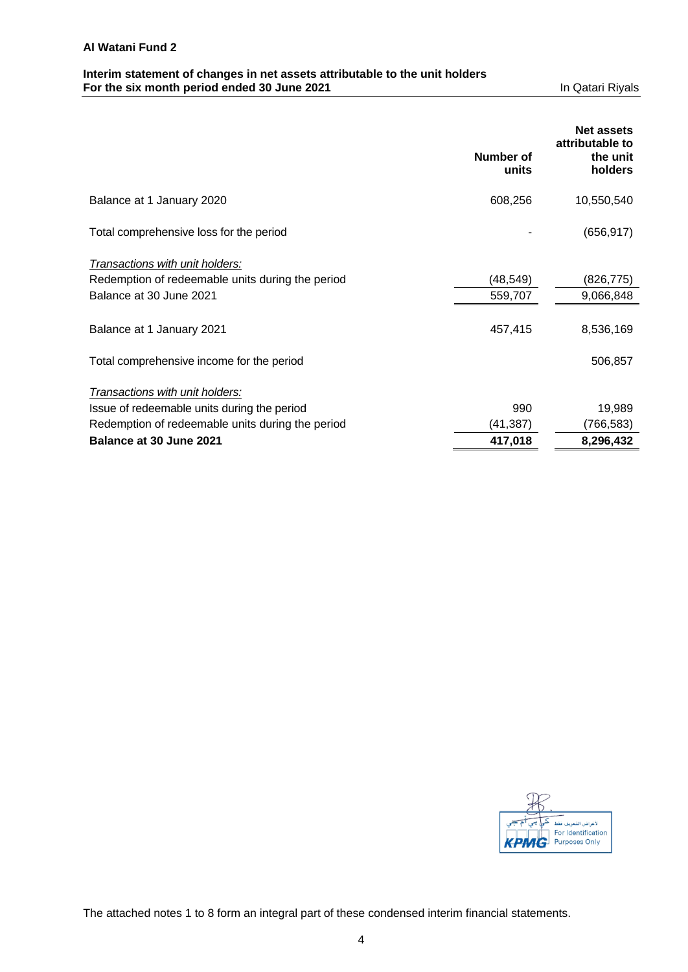# **Interim statement of changes in net assets attributable to the unit holders For the six month period ended 30 June 2021** In Qatari Riyals

|                                                  |                    | <b>Net assets</b><br>attributable to |
|--------------------------------------------------|--------------------|--------------------------------------|
|                                                  | Number of<br>units | the unit<br>holders                  |
| Balance at 1 January 2020                        | 608,256            | 10,550,540                           |
| Total comprehensive loss for the period          |                    | (656, 917)                           |
| Transactions with unit holders:                  |                    |                                      |
| Redemption of redeemable units during the period | (48,549)           | (826,775)                            |
| Balance at 30 June 2021                          | 559,707            | 9,066,848                            |
| Balance at 1 January 2021                        | 457,415            | 8,536,169                            |
| Total comprehensive income for the period        |                    | 506,857                              |
| Transactions with unit holders:                  |                    |                                      |
| Issue of redeemable units during the period      | 990                | 19,989                               |
| Redemption of redeemable units during the period | (41,387)           | (766, 583)                           |
| Balance at 30 June 2021                          | 417,018            | 8,296,432                            |

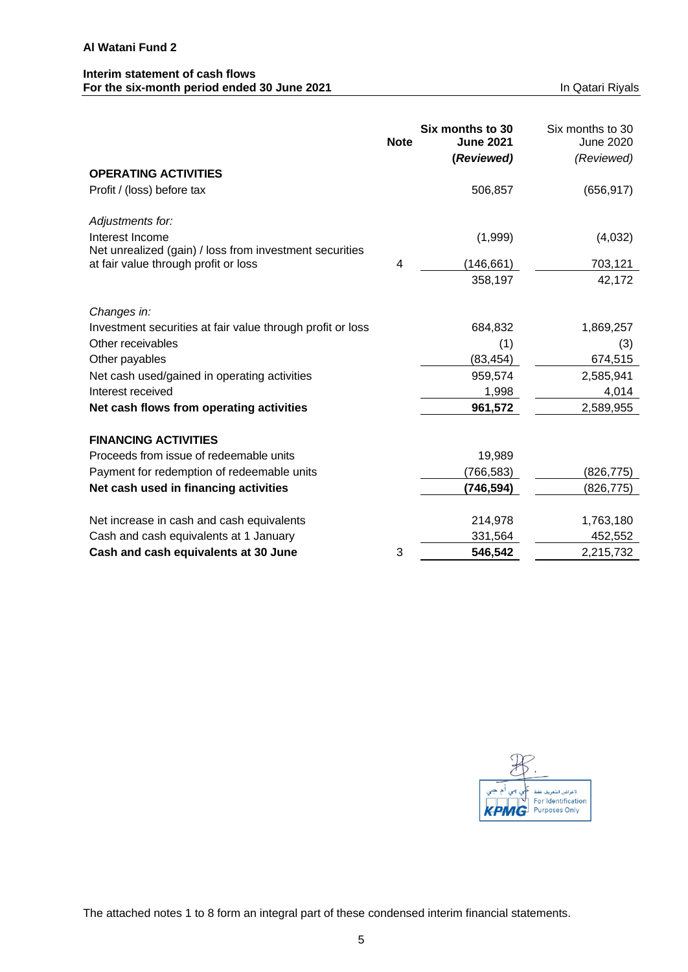# **Interim statement of cash flows For the six-month period ended 30 June 2021 In Qatari Riyals** In Qatari Riyals

|                                                                            | <b>Note</b> | Six months to 30<br><b>June 2021</b><br>(Reviewed) | Six months to 30<br><b>June 2020</b><br>(Reviewed) |
|----------------------------------------------------------------------------|-------------|----------------------------------------------------|----------------------------------------------------|
| <b>OPERATING ACTIVITIES</b>                                                |             |                                                    |                                                    |
| Profit / (loss) before tax                                                 |             | 506,857                                            | (656, 917)                                         |
| Adjustments for:                                                           |             |                                                    |                                                    |
| Interest Income<br>Net unrealized (gain) / loss from investment securities |             | (1,999)                                            | (4,032)                                            |
| at fair value through profit or loss                                       | 4           | (146, 661)                                         | 703,121                                            |
|                                                                            |             | 358,197                                            | 42,172                                             |
| Changes in:                                                                |             |                                                    |                                                    |
| Investment securities at fair value through profit or loss                 |             | 684,832                                            | 1,869,257                                          |
| Other receivables                                                          |             | (1)                                                | (3)                                                |
| Other payables                                                             |             | (83, 454)                                          | 674,515                                            |
| Net cash used/gained in operating activities                               |             | 959,574                                            | 2,585,941                                          |
| Interest received                                                          |             | 1,998                                              | 4,014                                              |
| Net cash flows from operating activities                                   |             | 961,572                                            | 2,589,955                                          |
| <b>FINANCING ACTIVITIES</b>                                                |             |                                                    |                                                    |
| Proceeds from issue of redeemable units                                    |             | 19,989                                             |                                                    |
| Payment for redemption of redeemable units                                 |             | (766, 583)                                         | (826,775)                                          |
| Net cash used in financing activities                                      |             | (746, 594)                                         | (826,775)                                          |
| Net increase in cash and cash equivalents                                  |             | 214,978                                            | 1,763,180                                          |
| Cash and cash equivalents at 1 January                                     |             | 331,564                                            | 452,552                                            |
| Cash and cash equivalents at 30 June                                       | 3           | 546,542                                            | 2,215,732                                          |

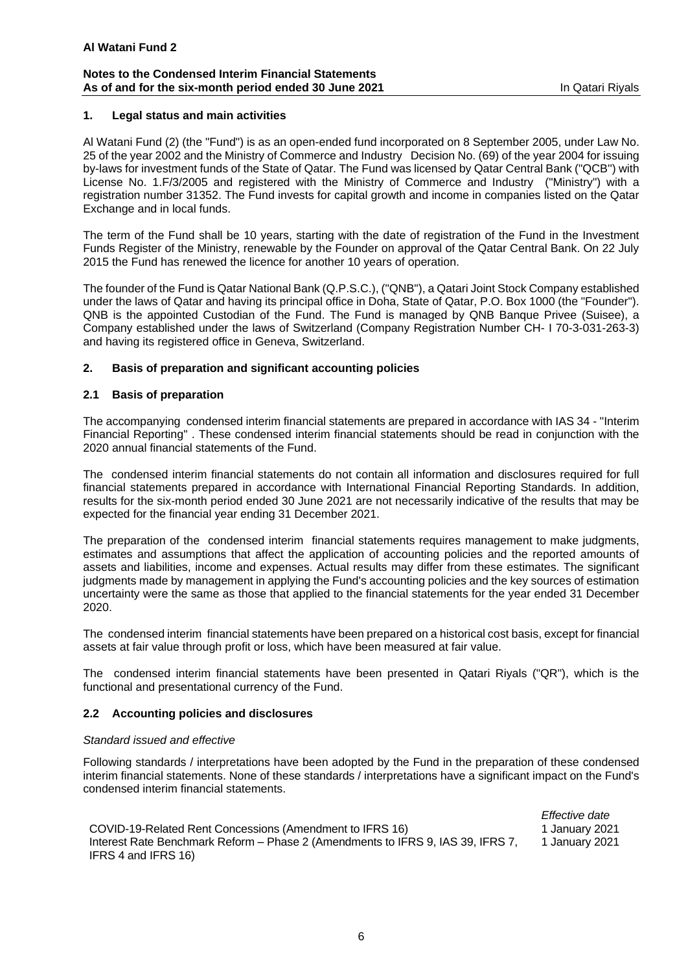### **Notes to the Condensed Interim Financial Statements As of and for the six-month period ended 30 June 2021 In Qatari Rivals** In Qatari Riyals

## **1. Legal status and main activities**

Al Watani Fund (2) (the "Fund") is as an open-ended fund incorporated on 8 September 2005, under Law No. 25 of the year 2002 and the Ministry of Commerce and Industry Decision No. (69) of the year 2004 for issuing by-laws for investment funds of the State of Qatar. The Fund was licensed by Qatar Central Bank ("QCB'') with License No. 1.F/3/2005 and registered with the Ministry of Commerce and Industry ("Ministry") with a registration number 31352. The Fund invests for capital growth and income in companies listed on the Qatar Exchange and in local funds.

The term of the Fund shall be 10 years, starting with the date of registration of the Fund in the Investment Funds Register of the Ministry, renewable by the Founder on approval of the Qatar Central Bank. On 22 July 2015 the Fund has renewed the licence for another 10 years of operation.

The founder of the Fund is Qatar National Bank (Q.P.S.C.), ("QNB"), a Qatari Joint Stock Company established under the laws of Qatar and having its principal office in Doha, State of Qatar, P.O. Box 1000 (the "Founder"). QNB is the appointed Custodian of the Fund. The Fund is managed by QNB Banque Privee (Suisee), a Company established under the laws of Switzerland (Company Registration Number CH- I 70-3-031-263-3) and having its registered office in Geneva, Switzerland.

### **2. Basis of preparation and significant accounting policies**

### **2.1 Basis of preparation**

The accompanying condensed interim financial statements are prepared in accordance with IAS 34 - "Interim Financial Reporting" . These condensed interim financial statements should be read in conjunction with the 2020 annual financial statements of the Fund.

The condensed interim financial statements do not contain all information and disclosures required for full financial statements prepared in accordance with International Financial Reporting Standards. In addition, results for the six-month period ended 30 June 2021 are not necessarily indicative of the results that may be expected for the financial year ending 31 December 2021.

The preparation of the condensed interim financial statements requires management to make judgments, estimates and assumptions that affect the application of accounting policies and the reported amounts of assets and liabilities, income and expenses. Actual results may differ from these estimates. The significant judgments made by management in applying the Fund's accounting policies and the key sources of estimation uncertainty were the same as those that applied to the financial statements for the year ended 31 December 2020.

The condensed interim financial statements have been prepared on a historical cost basis, except for financial assets at fair value through profit or loss, which have been measured at fair value.

The condensed interim financial statements have been presented in Qatari Riyals ("QR"), which is the functional and presentational currency of the Fund.

## **2.2 Accounting policies and disclosures**

### *Standard issued and effective*

Following standards / interpretations have been adopted by the Fund in the preparation of these condensed interim financial statements. None of these standards / interpretations have a significant impact on the Fund's condensed interim financial statements.

*Effective date*  COVID-19-Related Rent Concessions (Amendment to IFRS 16) 1 January 2021 Interest Rate Benchmark Reform – Phase 2 (Amendments to IFRS 9, IAS 39, IFRS 7, IFRS 4 and IFRS 16) 1 January 2021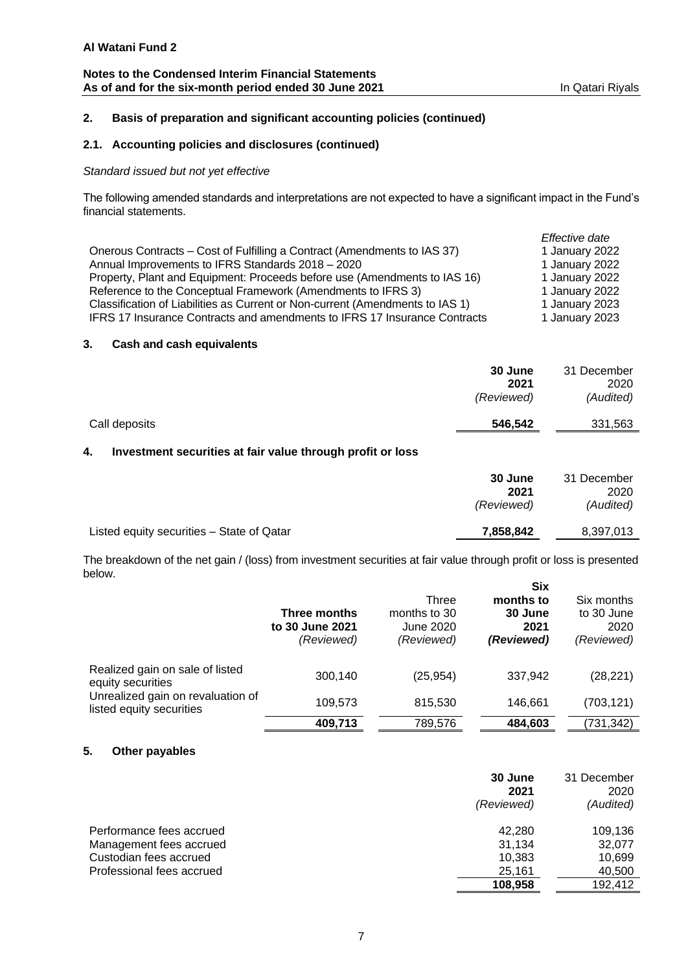## **Notes to the Condensed Interim Financial Statements** As of and for the six-month period ended 30 June 2021 **In Qatari Riyals** In Qatari Riyals

## **2. Basis of preparation and significant accounting policies (continued)**

## **2.1. Accounting policies and disclosures (continued)**

## *Standard issued but not yet effective*

The following amended standards and interpretations are not expected to have a significant impact in the Fund's financial statements.

|                                                                               | Effective date |
|-------------------------------------------------------------------------------|----------------|
| Onerous Contracts – Cost of Fulfilling a Contract (Amendments to IAS 37)      | 1 January 2022 |
| Annual Improvements to IFRS Standards 2018 - 2020                             | 1 January 2022 |
| Property, Plant and Equipment: Proceeds before use (Amendments to IAS 16)     | 1 January 2022 |
| Reference to the Conceptual Framework (Amendments to IFRS 3)                  | 1 January 2022 |
| Classification of Liabilities as Current or Non-current (Amendments to IAS 1) | 1 January 2023 |
| IFRS 17 Insurance Contracts and amendments to IFRS 17 Insurance Contracts     | 1 January 2023 |

#### **3. Cash and cash equivalents**

|               | 30 June<br>2021<br>(Reviewed) | 31 December<br>2020<br>(Audited) |
|---------------|-------------------------------|----------------------------------|
| Call deposits | 546,542                       | 331,563                          |

## **4. Investment securities at fair value through profit or loss**

|                                           | 30 June<br>2021<br>(Reviewed) | 31 December<br>2020<br>(Audited) |
|-------------------------------------------|-------------------------------|----------------------------------|
| Listed equity securities - State of Qatar | 7,858,842                     | 8,397,013                        |

The breakdown of the net gain / (loss) from investment securities at fair value through profit or loss is presented below. **Six** 

|                                                               |                                               |                                                  | ^יש                                        |                                                |
|---------------------------------------------------------------|-----------------------------------------------|--------------------------------------------------|--------------------------------------------|------------------------------------------------|
|                                                               | Three months<br>to 30 June 2021<br>(Reviewed) | Three<br>months to 30<br>June 2020<br>(Reviewed) | months to<br>30 June<br>2021<br>(Reviewed) | Six months<br>to 30 June<br>2020<br>(Reviewed) |
| Realized gain on sale of listed<br>equity securities          | 300,140                                       | (25, 954)                                        | 337,942                                    | (28, 221)                                      |
| Unrealized gain on revaluation of<br>listed equity securities | 109,573                                       | 815,530                                          | 146.661                                    | (703, 121)                                     |
|                                                               | 409,713                                       | 789,576                                          | 484,603                                    | (731,342)                                      |

## **5. Other payables**

|                           | 30 June<br>2021<br>(Reviewed) | 31 December<br>2020<br>(Audited) |
|---------------------------|-------------------------------|----------------------------------|
| Performance fees accrued  | 42.280                        | 109.136                          |
| Management fees accrued   | 31,134                        | 32,077                           |
| Custodian fees accrued    | 10,383                        | 10,699                           |
| Professional fees accrued | 25,161                        | 40,500                           |
|                           | 108,958                       | 192,412                          |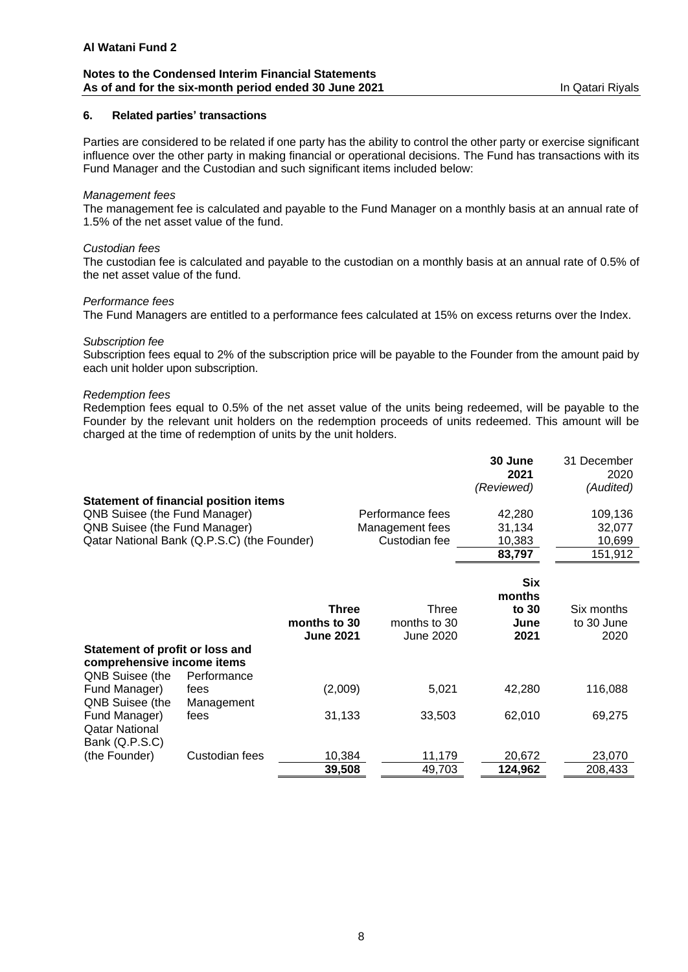#### **Notes to the Condensed Interim Financial Statements** As of and for the six-month period ended 30 June 2021 **In Qatari Rivals** In Qatari Riyals

## **6. Related parties' transactions**

Parties are considered to be related if one party has the ability to control the other party or exercise significant influence over the other party in making financial or operational decisions. The Fund has transactions with its Fund Manager and the Custodian and such significant items included below:

### *Management fees*

The management fee is calculated and payable to the Fund Manager on a monthly basis at an annual rate of 1.5% of the net asset value of the fund.

#### *Custodian fees*

The custodian fee is calculated and payable to the custodian on a monthly basis at an annual rate of 0.5% of the net asset value of the fund.

#### *Performance fees*

The Fund Managers are entitled to a performance fees calculated at 15% on excess returns over the Index.

### *Subscription fee*

Subscription fees equal to 2% of the subscription price will be payable to the Founder from the amount paid by each unit holder upon subscription.

#### *Redemption fees*

Redemption fees equal to 0.5% of the net asset value of the units being redeemed, will be payable to the Founder by the relevant unit holders on the redemption proceeds of units redeemed. This amount will be charged at the time of redemption of units by the unit holders.

|                                              |                  |                  | 30 June<br>2021<br>(Reviewed) | 31 December<br>2020<br>(Audited) |
|----------------------------------------------|------------------|------------------|-------------------------------|----------------------------------|
| <b>Statement of financial position items</b> |                  |                  |                               |                                  |
| QNB Suisee (the Fund Manager)                |                  | Performance fees | 42,280                        | 109,136                          |
| QNB Suisee (the Fund Manager)                |                  | Management fees  | 31,134                        | 32,077                           |
| Qatar National Bank (Q.P.S.C) (the Founder)  |                  | Custodian fee    | 10,383                        | 10,699                           |
|                                              |                  |                  | 83,797                        | 151,912                          |
|                                              |                  |                  |                               |                                  |
|                                              |                  |                  | <b>Six</b>                    |                                  |
|                                              |                  |                  | months                        |                                  |
|                                              | <b>Three</b>     | Three            | to 30                         | Six months                       |
|                                              | months to 30     | months to 30     | June                          | to 30 June                       |
|                                              | <b>June 2021</b> | June 2020        | 2021                          | 2020                             |
| Statement of profit or loss and              |                  |                  |                               |                                  |
| comprehensive income items                   |                  |                  |                               |                                  |
| QNB Suisee (the<br>Performance               |                  |                  |                               |                                  |
| Fund Manager)<br>fees                        | (2,009)          | 5,021            | 42,280                        | 116,088                          |
| QNB Suisee (the<br>Management                |                  |                  |                               |                                  |
| Fund Manager)<br>fees                        | 31,133           | 33,503           | 62,010                        | 69,275                           |
| <b>Qatar National</b><br>Bank (Q.P.S.C)      |                  |                  |                               |                                  |
| Custodian fees<br>(the Founder)              | 10,384           | 11,179           | 20,672                        | 23,070                           |
|                                              | 39,508           | 49,703           | 124,962                       | 208,433                          |